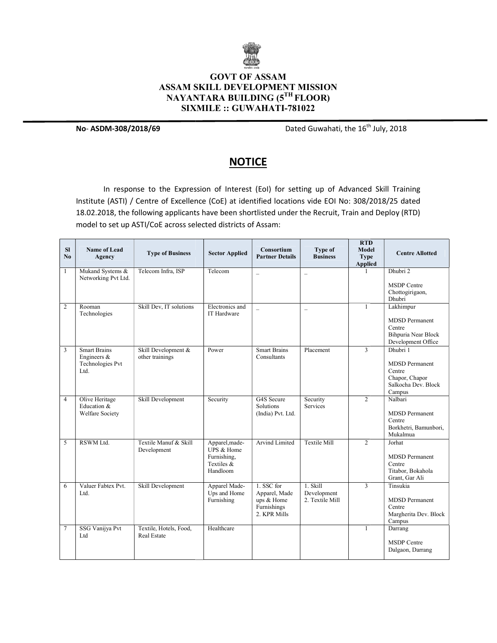

## **ASSAM SKILL DEVELOPMENT MISSION** NAYANTARA BUILDING (5<sup>th</sup> floor) SIXMILE :: GUWAHATI GUWAHATI-781022 GOVT OF ASSAM

No- ASDM-308/2018/69

Dated Guwahati, the 16<sup>th</sup> July, 2018

## **NOTICE**

In response to the Expression of Interest (EoI) for setting up of Advanced Skill Training Institute (ASTI) / Centre of Excellence (CoE) at identified locations vide EOI No: 308/2018/25 dated 18.02.2018, the following applicants have been shortlisted under the Recruit, Train and Deploy (RTD) model to set up ASTI/CoE across selected districts of Assam: which are accorded to set and as a set of Assam:

| SI<br>N <sub>0</sub> | <b>Name of Lead</b><br>Agency                                     | <b>Type of Business</b>                | <b>Sector Applied</b>                                                 | Consortium<br><b>Partner Details</b>                                     | Type of<br><b>Business</b>                 | <b>RTD</b><br>Model<br>Type<br><b>Applied</b> | <b>Centre Allotted</b>                                                                         |
|----------------------|-------------------------------------------------------------------|----------------------------------------|-----------------------------------------------------------------------|--------------------------------------------------------------------------|--------------------------------------------|-----------------------------------------------|------------------------------------------------------------------------------------------------|
| 1                    | Mukand Systems &<br>Networking Pvt Ltd.                           | Telecom Infra, ISP                     | Telecom                                                               | $\overline{\phantom{0}}$                                                 | $\overline{\phantom{0}}$                   |                                               | Dhubri 2<br><b>MSDP</b> Centre<br>Chottogirigaon,<br>Dhubri                                    |
| $\overline{c}$       | Rooman<br>Technologies                                            | Skill Dev, IT solutions                | Electronics and<br>IT Hardware                                        | $\equiv$                                                                 | $\overline{\phantom{0}}$                   | $\mathbf{1}$                                  | Lakhimpur<br><b>MDSD</b> Permanent<br>Centre<br>Bihpuria Near Block<br>Development Office      |
| 3                    | <b>Smart Brains</b><br>Engineers $\&$<br>Technologies Pvt<br>Ltd. | Skill Development &<br>other trainings | Power                                                                 | <b>Smart Brains</b><br>Consultants                                       | Placement                                  | $\overline{3}$                                | Dhubri 1<br><b>MDSD</b> Permanent<br>Centre<br>Chapor, Chapor<br>Salkocha Dev. Block<br>Campus |
| $\overline{4}$       | Olive Heritage<br>Education &<br>Welfare Society                  | Skill Development                      | Security                                                              | G4S Secure<br>Solutions<br>(India) Pvt. Ltd.                             | Security<br>Services                       | $\overline{2}$                                | Nalbari<br><b>MDSD</b> Permanent<br>Centre<br>Borkhetri, Bamunbori,<br>Mukalmua                |
| 5                    | RSWM Ltd.                                                         | Textile Manuf & Skill<br>Development   | Apparel, made-<br>UPS & Home<br>Furnishing,<br>Textiles &<br>Handloom | Arvind Limited                                                           | <b>Textile Mill</b>                        | $\overline{2}$                                | Jorhat<br><b>MDSD</b> Permanent<br>Centre<br>Titabor, Bokahola<br>Grant, Gar Ali               |
| 6                    | Valuer Fabtex Pvt.<br>Ltd.                                        | Skill Development                      | Apparel Made-<br>Ups and Home<br>Furnishing                           | 1. SSC for<br>Apparel, Made<br>ups & Home<br>Furnishings<br>2. KPR Mills | 1. Skill<br>Development<br>2. Textile Mill | $\overline{3}$                                | Tinsukia<br><b>MDSD</b> Permanent<br>Centre<br>Margherita Dev. Block<br>Campus                 |
| $\overline{7}$       | SSG Vanijya Pvt<br>Ltd                                            | Textile, Hotels, Food,<br>Real Estate  | Healthcare                                                            |                                                                          |                                            | $\mathbf{1}$                                  | Darrang<br><b>MSDP</b> Centre<br>Dalgaon, Darrang                                              |